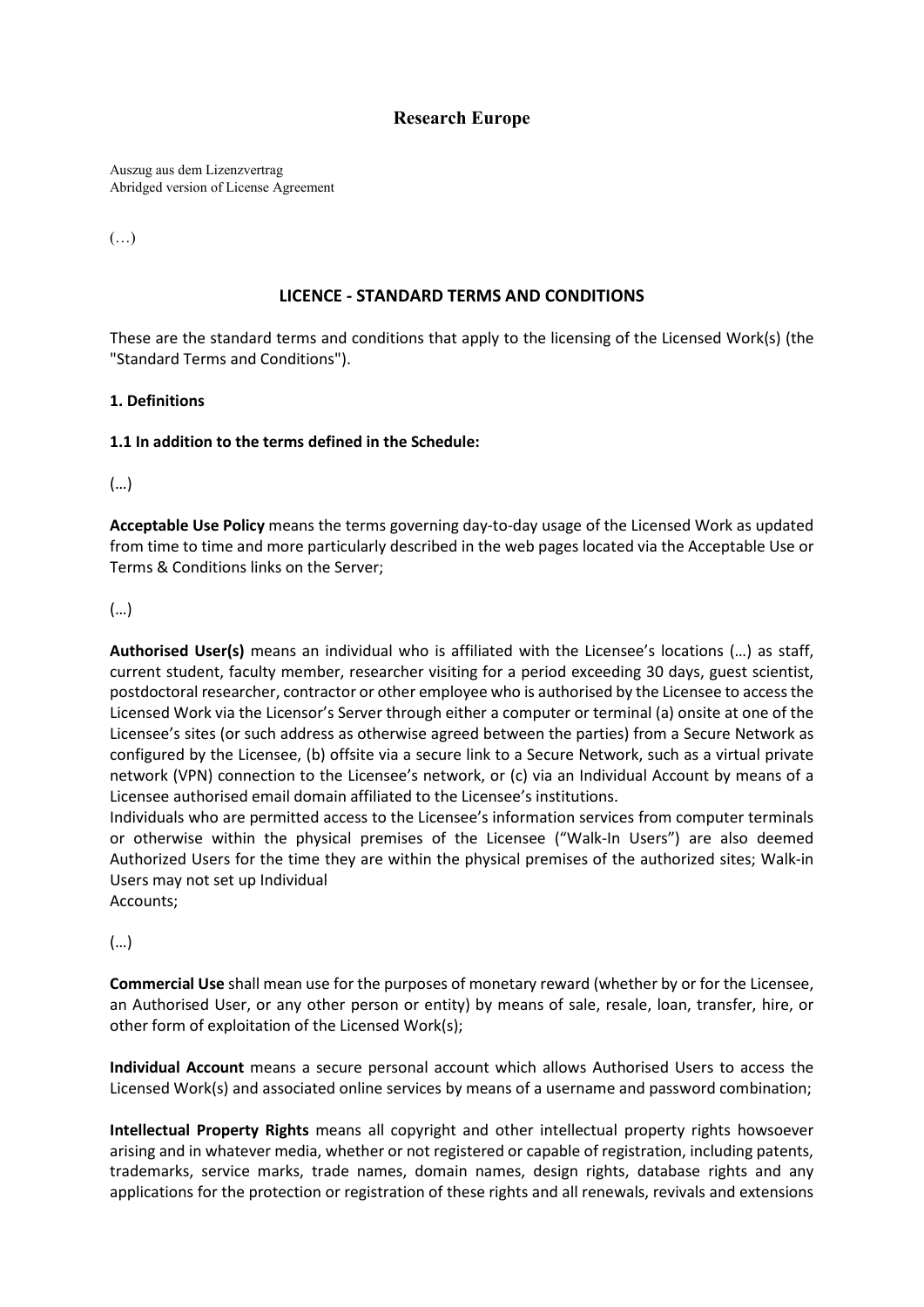# **Research Europe**

Auszug aus dem Lizenzvertrag Abridged version of License Agreement

(…)

### **LICENCE - STANDARD TERMS AND CONDITIONS**

These are the standard terms and conditions that apply to the licensing of the Licensed Work(s) (the "Standard Terms and Conditions").

### **1. Definitions**

### **1.1 In addition to the terms defined in the Schedule:**

(…)

**Acceptable Use Policy** means the terms governing day-to-day usage of the Licensed Work as updated from time to time and more particularly described in the web pages located via the Acceptable Use or Terms & Conditions links on the Server;

### (…)

**Authorised User(s)** means an individual who is affiliated with the Licensee's locations (…) as staff, current student, faculty member, researcher visiting for a period exceeding 30 days, guest scientist, postdoctoral researcher, contractor or other employee who is authorised by the Licensee to access the Licensed Work via the Licensor's Server through either a computer or terminal (a) onsite at one of the Licensee's sites (or such address as otherwise agreed between the parties) from a Secure Network as configured by the Licensee, (b) offsite via a secure link to a Secure Network, such as a virtual private network (VPN) connection to the Licensee's network, or (c) via an Individual Account by means of a Licensee authorised email domain affiliated to the Licensee's institutions.

Individuals who are permitted access to the Licensee's information services from computer terminals or otherwise within the physical premises of the Licensee ("Walk-In Users") are also deemed Authorized Users for the time they are within the physical premises of the authorized sites; Walk-in Users may not set up Individual

Accounts;

## (…)

**Commercial Use** shall mean use for the purposes of monetary reward (whether by or for the Licensee, an Authorised User, or any other person or entity) by means of sale, resale, loan, transfer, hire, or other form of exploitation of the Licensed Work(s);

**Individual Account** means a secure personal account which allows Authorised Users to access the Licensed Work(s) and associated online services by means of a username and password combination;

**Intellectual Property Rights** means all copyright and other intellectual property rights howsoever arising and in whatever media, whether or not registered or capable of registration, including patents, trademarks, service marks, trade names, domain names, design rights, database rights and any applications for the protection or registration of these rights and all renewals, revivals and extensions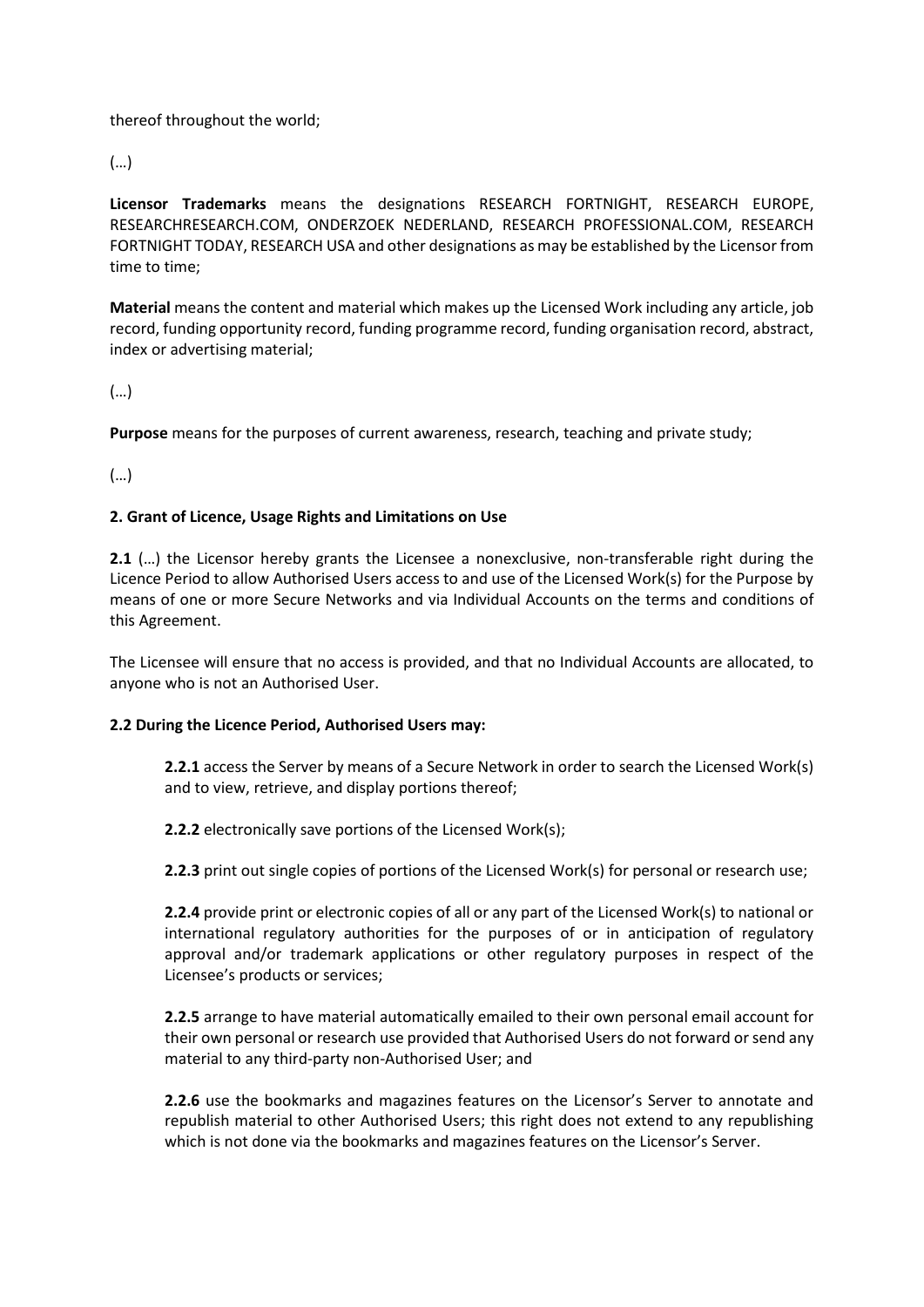thereof throughout the world;

(…)

**Licensor Trademarks** means the designations RESEARCH FORTNIGHT, RESEARCH EUROPE, RESEARCHRESEARCH.COM, ONDERZOEK NEDERLAND, RESEARCH PROFESSIONAL.COM, RESEARCH FORTNIGHT TODAY, RESEARCH USA and other designations as may be established by the Licensor from time to time;

**Material** means the content and material which makes up the Licensed Work including any article, job record, funding opportunity record, funding programme record, funding organisation record, abstract, index or advertising material;

(…)

**Purpose** means for the purposes of current awareness, research, teaching and private study;

(…)

### **2. Grant of Licence, Usage Rights and Limitations on Use**

2.1 (...) the Licensor hereby grants the Licensee a nonexclusive, non-transferable right during the Licence Period to allow Authorised Users access to and use of the Licensed Work(s) for the Purpose by means of one or more Secure Networks and via Individual Accounts on the terms and conditions of this Agreement.

The Licensee will ensure that no access is provided, and that no Individual Accounts are allocated, to anyone who is not an Authorised User.

### **2.2 During the Licence Period, Authorised Users may:**

**2.2.1** access the Server by means of a Secure Network in order to search the Licensed Work(s) and to view, retrieve, and display portions thereof;

**2.2.2** electronically save portions of the Licensed Work(s);

**2.2.3** print out single copies of portions of the Licensed Work(s) for personal or research use;

**2.2.4** provide print or electronic copies of all or any part of the Licensed Work(s) to national or international regulatory authorities for the purposes of or in anticipation of regulatory approval and/or trademark applications or other regulatory purposes in respect of the Licensee's products or services;

**2.2.5** arrange to have material automatically emailed to their own personal email account for their own personal or research use provided that Authorised Users do not forward or send any material to any third-party non-Authorised User; and

**2.2.6** use the bookmarks and magazines features on the Licensor's Server to annotate and republish material to other Authorised Users; this right does not extend to any republishing which is not done via the bookmarks and magazines features on the Licensor's Server.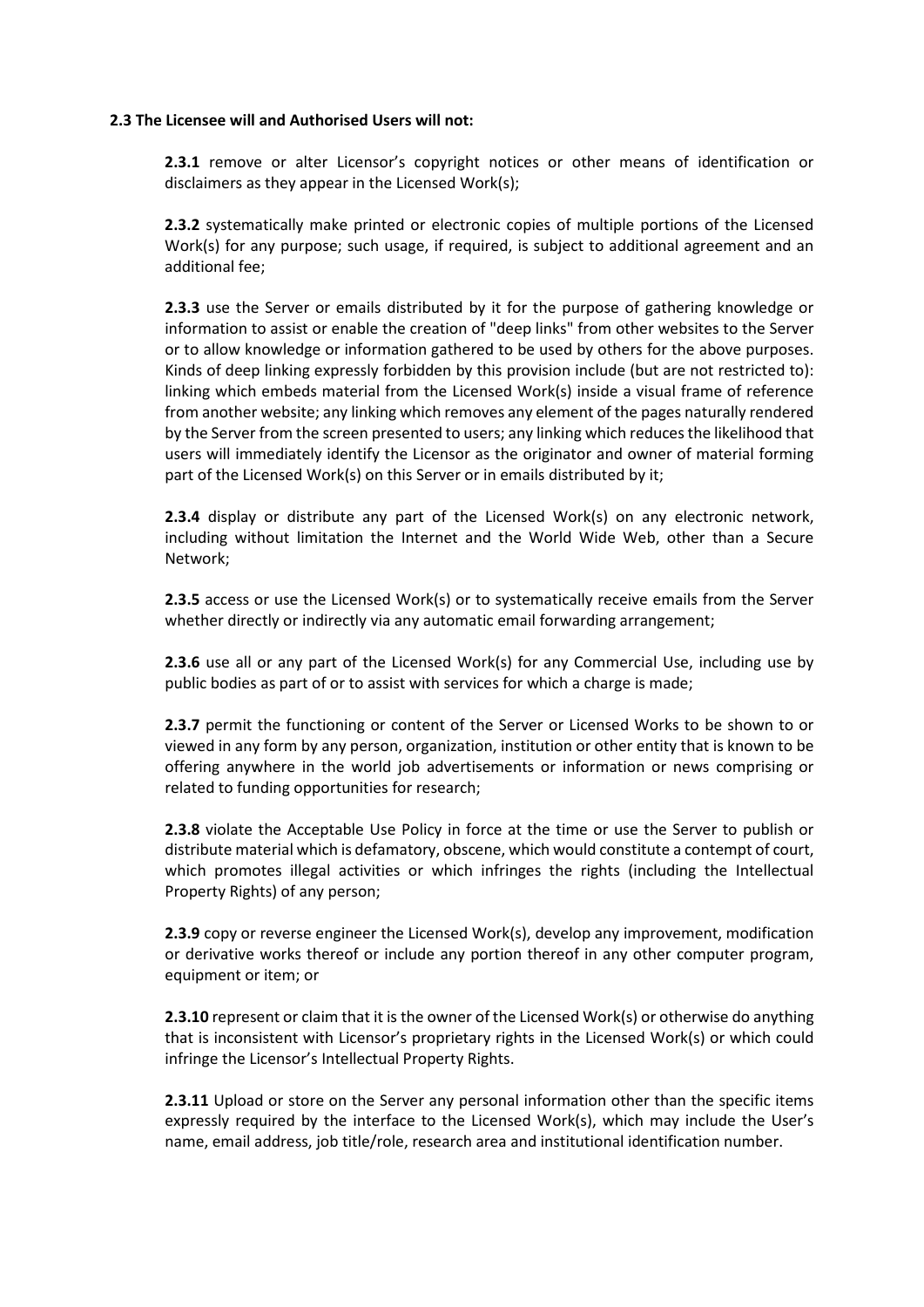#### **2.3 The Licensee will and Authorised Users will not:**

**2.3.1** remove or alter Licensor's copyright notices or other means of identification or disclaimers as they appear in the Licensed Work(s);

**2.3.2** systematically make printed or electronic copies of multiple portions of the Licensed Work(s) for any purpose; such usage, if required, is subject to additional agreement and an additional fee;

**2.3.3** use the Server or emails distributed by it for the purpose of gathering knowledge or information to assist or enable the creation of "deep links" from other websites to the Server or to allow knowledge or information gathered to be used by others for the above purposes. Kinds of deep linking expressly forbidden by this provision include (but are not restricted to): linking which embeds material from the Licensed Work(s) inside a visual frame of reference from another website; any linking which removes any element of the pages naturally rendered by the Server from the screen presented to users; any linking which reduces the likelihood that users will immediately identify the Licensor as the originator and owner of material forming part of the Licensed Work(s) on this Server or in emails distributed by it;

**2.3.4** display or distribute any part of the Licensed Work(s) on any electronic network, including without limitation the Internet and the World Wide Web, other than a Secure Network;

**2.3.5** access or use the Licensed Work(s) or to systematically receive emails from the Server whether directly or indirectly via any automatic email forwarding arrangement;

**2.3.6** use all or any part of the Licensed Work(s) for any Commercial Use, including use by public bodies as part of or to assist with services for which a charge is made;

**2.3.7** permit the functioning or content of the Server or Licensed Works to be shown to or viewed in any form by any person, organization, institution or other entity that is known to be offering anywhere in the world job advertisements or information or news comprising or related to funding opportunities for research;

**2.3.8** violate the Acceptable Use Policy in force at the time or use the Server to publish or distribute material which is defamatory, obscene, which would constitute a contempt of court, which promotes illegal activities or which infringes the rights (including the Intellectual Property Rights) of any person;

**2.3.9** copy or reverse engineer the Licensed Work(s), develop any improvement, modification or derivative works thereof or include any portion thereof in any other computer program, equipment or item; or

**2.3.10** represent or claim that it is the owner of the Licensed Work(s) or otherwise do anything that is inconsistent with Licensor's proprietary rights in the Licensed Work(s) or which could infringe the Licensor's Intellectual Property Rights.

**2.3.11** Upload or store on the Server any personal information other than the specific items expressly required by the interface to the Licensed Work(s), which may include the User's name, email address, job title/role, research area and institutional identification number.